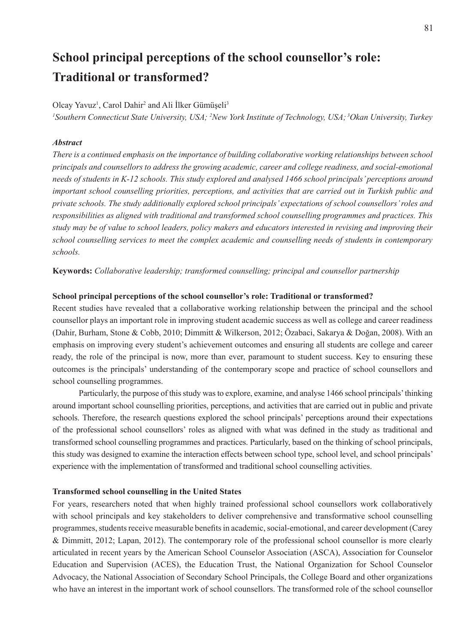# **School principal perceptions of the school counsellor's role: Traditional or transformed?**

# Olcay Yavuz<sup>1</sup>, Carol Dahir<sup>2</sup> and Ali Ilker Gümüşeli<sup>3</sup>

<sup>1</sup> Southern Connecticut State University, USA; <sup>2</sup>New York Institute of Technology, USA; <sup>3</sup>Okan University, Turkey

# *Abstract*

*There is a continued emphasis on the importance of building collaborative working relationships between school principals and counsellors to address the growing academic, career and college readiness, and social-emotional needs of students in K-12 schools. This study explored and analysed 1466 school principals' perceptions around important school counselling priorities, perceptions, and activities that are carried out in Turkish public and private schools. The study additionally explored school principals' expectations of school counsellors' roles and responsibilities as aligned with traditional and transformed school counselling programmes and practices. This study may be of value to school leaders, policy makers and educators interested in revising and improving their school counselling services to meet the complex academic and counselling needs of students in contemporary schools.*

**Keywords:** *Collaborative leadership; transformed counselling; principal and counsellor partnership*

## **School principal perceptions of the school counsellor's role: Traditional or transformed?**

Recent studies have revealed that a collaborative working relationship between the principal and the school counsellor plays an important role in improving student academic success as well as college and career readiness (Dahir, Burham, Stone & Cobb, 2010; Dimmitt & Wilkerson, 2012; Özabaci, Sakarya & Doğan, 2008). With an emphasis on improving every student's achievement outcomes and ensuring all students are college and career ready, the role of the principal is now, more than ever, paramount to student success. Key to ensuring these outcomes is the principals' understanding of the contemporary scope and practice of school counsellors and school counselling programmes.

Particularly, the purpose of this study was to explore, examine, and analyse 1466 school principals' thinking around important school counselling priorities, perceptions, and activities that are carried out in public and private schools. Therefore, the research questions explored the school principals' perceptions around their expectations of the professional school counsellors' roles as aligned with what was defined in the study as traditional and transformed school counselling programmes and practices. Particularly, based on the thinking of school principals, this study was designed to examine the interaction effects between school type, school level, and school principals' experience with the implementation of transformed and traditional school counselling activities.

## **Transformed school counselling in the United States**

For years, researchers noted that when highly trained professional school counsellors work collaboratively with school principals and key stakeholders to deliver comprehensive and transformative school counselling programmes, students receive measurable benefits in academic, social-emotional, and career development (Carey & Dimmitt, 2012; Lapan, 2012). The contemporary role of the professional school counsellor is more clearly articulated in recent years by the American School Counselor Association (ASCA), Association for Counselor Education and Supervision (ACES), the Education Trust, the National Organization for School Counselor Advocacy, the National Association of Secondary School Principals, the College Board and other organizations who have an interest in the important work of school counsellors. The transformed role of the school counsellor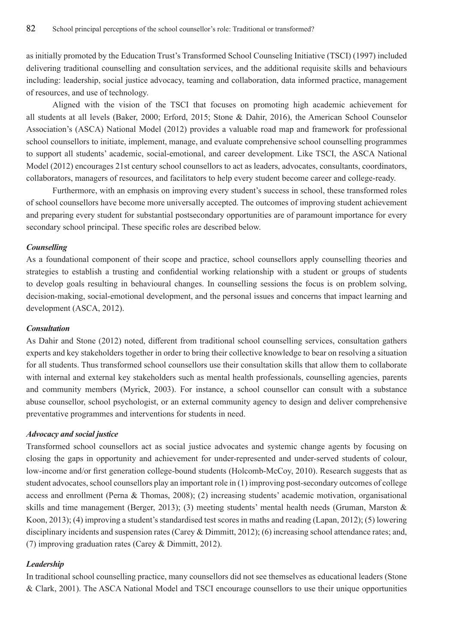as initially promoted by the Education Trust's Transformed School Counseling Initiative (TSCI) (1997) included delivering traditional counselling and consultation services, and the additional requisite skills and behaviours including: leadership, social justice advocacy, teaming and collaboration, data informed practice, management of resources, and use of technology.

Aligned with the vision of the TSCI that focuses on promoting high academic achievement for all students at all levels (Baker, 2000; Erford, 2015; Stone & Dahir, 2016), the American School Counselor Association's (ASCA) National Model (2012) provides a valuable road map and framework for professional school counsellors to initiate, implement, manage, and evaluate comprehensive school counselling programmes to support all students' academic, social-emotional, and career development. Like TSCI, the ASCA National Model (2012) encourages 21st century school counsellors to act as leaders, advocates, consultants, coordinators, collaborators, managers of resources, and facilitators to help every student become career and college-ready.

Furthermore, with an emphasis on improving every student's success in school, these transformed roles of school counsellors have become more universally accepted. The outcomes of improving student achievement and preparing every student for substantial postsecondary opportunities are of paramount importance for every secondary school principal. These specific roles are described below.

## *Counselling*

As a foundational component of their scope and practice, school counsellors apply counselling theories and strategies to establish a trusting and confidential working relationship with a student or groups of students to develop goals resulting in behavioural changes. In counselling sessions the focus is on problem solving, decision-making, social-emotional development, and the personal issues and concerns that impact learning and development (ASCA, 2012).

# *Consultation*

As Dahir and Stone (2012) noted, different from traditional school counselling services, consultation gathers experts and key stakeholders together in order to bring their collective knowledge to bear on resolving a situation for all students. Thus transformed school counsellors use their consultation skills that allow them to collaborate with internal and external key stakeholders such as mental health professionals, counselling agencies, parents and community members (Myrick, 2003). For instance, a school counsellor can consult with a substance abuse counsellor, school psychologist, or an external community agency to design and deliver comprehensive preventative programmes and interventions for students in need.

# *Advocacy and social justice*

Transformed school counsellors act as social justice advocates and systemic change agents by focusing on closing the gaps in opportunity and achievement for under-represented and under-served students of colour, low-income and/or first generation college-bound students (Holcomb-McCoy, 2010). Research suggests that as student advocates, school counsellors play an important role in (1) improving post-secondary outcomes of college access and enrollment (Perna & Thomas, 2008); (2) increasing students' academic motivation, organisational skills and time management (Berger, 2013); (3) meeting students' mental health needs (Gruman, Marston & Koon, 2013); (4) improving a student's standardised test scores in maths and reading (Lapan, 2012); (5) lowering disciplinary incidents and suspension rates (Carey & Dimmitt, 2012); (6) increasing school attendance rates; and, (7) improving graduation rates (Carey & Dimmitt, 2012).

## *Leadership*

In traditional school counselling practice, many counsellors did not see themselves as educational leaders (Stone & Clark, 2001). The ASCA National Model and TSCI encourage counsellors to use their unique opportunities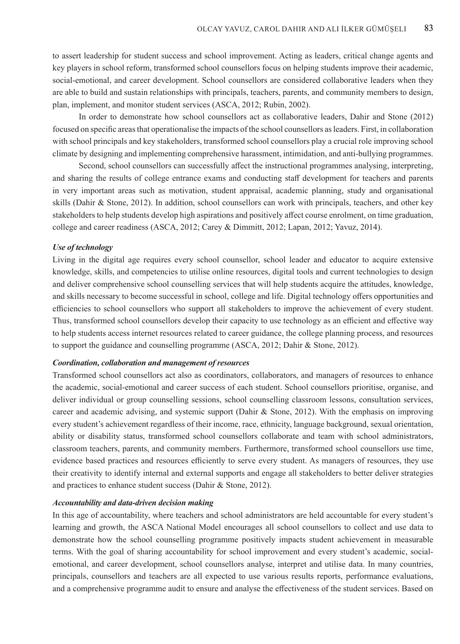to assert leadership for student success and school improvement. Acting as leaders, critical change agents and key players in school reform, transformed school counsellors focus on helping students improve their academic, social-emotional, and career development. School counsellors are considered collaborative leaders when they are able to build and sustain relationships with principals, teachers, parents, and community members to design, plan, implement, and monitor student services (ASCA, 2012; Rubin, 2002).

In order to demonstrate how school counsellors act as collaborative leaders, Dahir and Stone (2012) focused on specific areas that operationalise the impacts of the school counsellors as leaders. First, in collaboration with school principals and key stakeholders, transformed school counsellors play a crucial role improving school climate by designing and implementing comprehensive harassment, intimidation, and anti-bullying programmes.

Second, school counsellors can successfully affect the instructional programmes analysing, interpreting, and sharing the results of college entrance exams and conducting staff development for teachers and parents in very important areas such as motivation, student appraisal, academic planning, study and organisational skills (Dahir & Stone, 2012). In addition, school counsellors can work with principals, teachers, and other key stakeholders to help students develop high aspirations and positively affect course enrolment, on time graduation, college and career readiness (ASCA, 2012; Carey & Dimmitt, 2012; Lapan, 2012; Yavuz, 2014).

#### *Use of technology*

Living in the digital age requires every school counsellor, school leader and educator to acquire extensive knowledge, skills, and competencies to utilise online resources, digital tools and current technologies to design and deliver comprehensive school counselling services that will help students acquire the attitudes, knowledge, and skills necessary to become successful in school, college and life. Digital technology offers opportunities and efficiencies to school counsellors who support all stakeholders to improve the achievement of every student. Thus, transformed school counsellors develop their capacity to use technology as an efficient and effective way to help students access internet resources related to career guidance, the college planning process, and resources to support the guidance and counselling programme (ASCA, 2012; Dahir & Stone, 2012).

## *Coordination, collaboration and management of resources*

Transformed school counsellors act also as coordinators, collaborators, and managers of resources to enhance the academic, social-emotional and career success of each student. School counsellors prioritise, organise, and deliver individual or group counselling sessions, school counselling classroom lessons, consultation services, career and academic advising, and systemic support (Dahir & Stone, 2012). With the emphasis on improving every student's achievement regardless of their income, race, ethnicity, language background, sexual orientation, ability or disability status, transformed school counsellors collaborate and team with school administrators, classroom teachers, parents, and community members. Furthermore, transformed school counsellors use time, evidence based practices and resources efficiently to serve every student. As managers of resources, they use their creativity to identify internal and external supports and engage all stakeholders to better deliver strategies and practices to enhance student success (Dahir & Stone, 2012).

# *Accountability and data-driven decision making*

In this age of accountability, where teachers and school administrators are held accountable for every student's learning and growth, the ASCA National Model encourages all school counsellors to collect and use data to demonstrate how the school counselling programme positively impacts student achievement in measurable terms. With the goal of sharing accountability for school improvement and every student's academic, socialemotional, and career development, school counsellors analyse, interpret and utilise data. In many countries, principals, counsellors and teachers are all expected to use various results reports, performance evaluations, and a comprehensive programme audit to ensure and analyse the effectiveness of the student services. Based on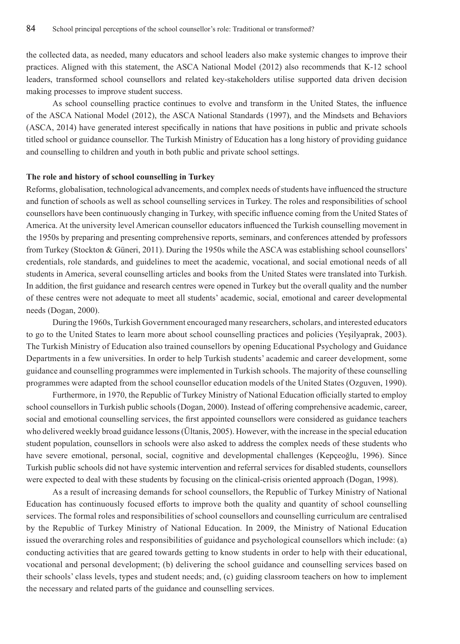the collected data, as needed, many educators and school leaders also make systemic changes to improve their practices. Aligned with this statement, the ASCA National Model (2012) also recommends that K-12 school leaders, transformed school counsellors and related key-stakeholders utilise supported data driven decision making processes to improve student success.

As school counselling practice continues to evolve and transform in the United States, the influence of the ASCA National Model (2012), the ASCA National Standards (1997), and the Mindsets and Behaviors (ASCA, 2014) have generated interest specifically in nations that have positions in public and private schools titled school or guidance counsellor. The Turkish Ministry of Education has a long history of providing guidance and counselling to children and youth in both public and private school settings.

#### **The role and history of school counselling in Turkey**

Reforms, globalisation, technological advancements, and complex needs of students have influenced the structure and function of schools as well as school counselling services in Turkey. The roles and responsibilities of school counsellors have been continuously changing in Turkey, with specific influence coming from the United States of America. At the university level American counsellor educators influenced the Turkish counselling movement in the 1950s by preparing and presenting comprehensive reports, seminars, and conferences attended by professors from Turkey (Stockton & Güneri, 2011). During the 1950s while the ASCA was establishing school counsellors' credentials, role standards, and guidelines to meet the academic, vocational, and social emotional needs of all students in America, several counselling articles and books from the United States were translated into Turkish. In addition, the first guidance and research centres were opened in Turkey but the overall quality and the number of these centres were not adequate to meet all students' academic, social, emotional and career developmental needs (Dogan, 2000).

During the 1960s, Turkish Government encouraged many researchers, scholars, and interested educators to go to the United States to learn more about school counselling practices and policies (Yeşilyaprak, 2003). The Turkish Ministry of Education also trained counsellors by opening Educational Psychology and Guidance Departments in a few universities. In order to help Turkish students' academic and career development, some guidance and counselling programmes were implemented in Turkish schools. The majority of these counselling programmes were adapted from the school counsellor education models of the United States (Ozguven, 1990).

Furthermore, in 1970, the Republic of Turkey Ministry of National Education officially started to employ school counsellors in Turkish public schools (Dogan, 2000). Instead of offering comprehensive academic, career, social and emotional counselling services, the first appointed counsellors were considered as guidance teachers who delivered weekly broad guidance lessons (Ültanis, 2005). However, with the increase in the special education student population, counsellors in schools were also asked to address the complex needs of these students who have severe emotional, personal, social, cognitive and developmental challenges (Kepçeoğlu, 1996). Since Turkish public schools did not have systemic intervention and referral services for disabled students, counsellors were expected to deal with these students by focusing on the clinical-crisis oriented approach (Dogan, 1998).

As a result of increasing demands for school counsellors, the Republic of Turkey Ministry of National Education has continuously focused efforts to improve both the quality and quantity of school counselling services. The formal roles and responsibilities of school counsellors and counselling curriculum are centralised by the Republic of Turkey Ministry of National Education. In 2009, the Ministry of National Education issued the overarching roles and responsibilities of guidance and psychological counsellors which include: (a) conducting activities that are geared towards getting to know students in order to help with their educational, vocational and personal development; (b) delivering the school guidance and counselling services based on their schools' class levels, types and student needs; and, (c) guiding classroom teachers on how to implement the necessary and related parts of the guidance and counselling services.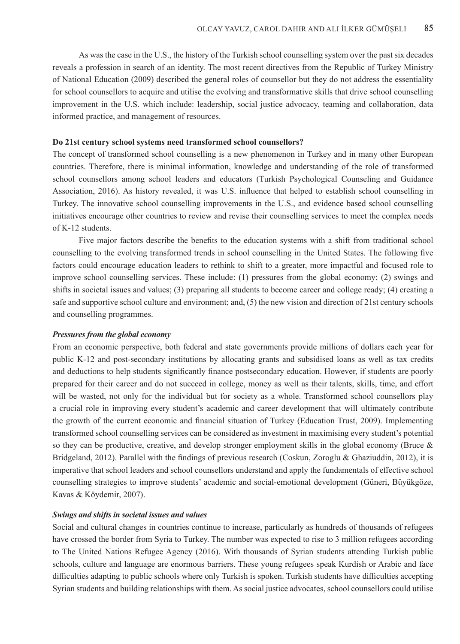As was the case in the U.S., the history of the Turkish school counselling system over the past six decades reveals a profession in search of an identity. The most recent directives from the Republic of Turkey Ministry of National Education (2009) described the general roles of counsellor but they do not address the essentiality for school counsellors to acquire and utilise the evolving and transformative skills that drive school counselling improvement in the U.S. which include: leadership, social justice advocacy, teaming and collaboration, data informed practice, and management of resources.

#### **Do 21st century school systems need transformed school counsellors?**

The concept of transformed school counselling is a new phenomenon in Turkey and in many other European countries. Therefore, there is minimal information, knowledge and understanding of the role of transformed school counsellors among school leaders and educators (Turkish Psychological Counseling and Guidance Association, 2016). As history revealed, it was U.S. influence that helped to establish school counselling in Turkey. The innovative school counselling improvements in the U.S., and evidence based school counselling initiatives encourage other countries to review and revise their counselling services to meet the complex needs of K-12 students.

Five major factors describe the benefits to the education systems with a shift from traditional school counselling to the evolving transformed trends in school counselling in the United States. The following five factors could encourage education leaders to rethink to shift to a greater, more impactful and focused role to improve school counselling services. These include: (1) pressures from the global economy; (2) swings and shifts in societal issues and values; (3) preparing all students to become career and college ready; (4) creating a safe and supportive school culture and environment; and, (5) the new vision and direction of 21st century schools and counselling programmes.

#### *Pressures from the global economy*

From an economic perspective, both federal and state governments provide millions of dollars each year for public K-12 and post-secondary institutions by allocating grants and subsidised loans as well as tax credits and deductions to help students significantly finance postsecondary education. However, if students are poorly prepared for their career and do not succeed in college, money as well as their talents, skills, time, and effort will be wasted, not only for the individual but for society as a whole. Transformed school counsellors play a crucial role in improving every student's academic and career development that will ultimately contribute the growth of the current economic and financial situation of Turkey (Education Trust, 2009). Implementing transformed school counselling services can be considered as investment in maximising every student's potential so they can be productive, creative, and develop stronger employment skills in the global economy (Bruce & Bridgeland, 2012). Parallel with the findings of previous research (Coskun, Zoroglu & Ghaziuddin, 2012), it is imperative that school leaders and school counsellors understand and apply the fundamentals of effective school counselling strategies to improve students' academic and social-emotional development (Güneri, Büyükgöze, Kavas & Köydemir, 2007).

## *Swings and shifts in societal issues and values*

Social and cultural changes in countries continue to increase, particularly as hundreds of thousands of refugees have crossed the border from Syria to Turkey. The number was expected to rise to 3 million refugees according to The United Nations Refugee Agency (2016). With thousands of Syrian students attending Turkish public schools, culture and language are enormous barriers. These young refugees speak Kurdish or Arabic and face difficulties adapting to public schools where only Turkish is spoken. Turkish students have difficulties accepting Syrian students and building relationships with them. As social justice advocates, school counsellors could utilise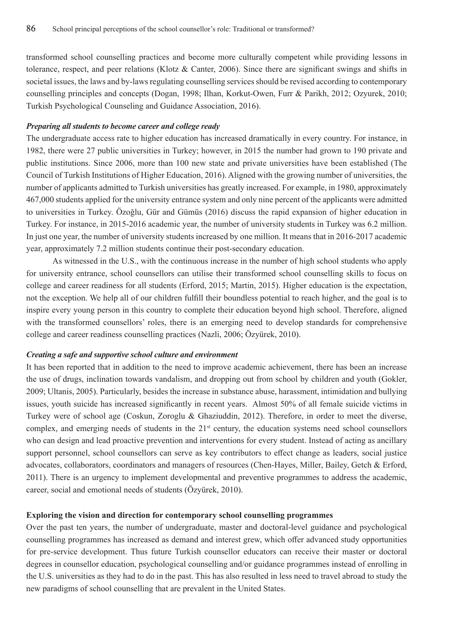transformed school counselling practices and become more culturally competent while providing lessons in tolerance, respect, and peer relations (Klotz & Canter, 2006). Since there are significant swings and shifts in societal issues, the laws and by-laws regulating counselling services should be revised according to contemporary counselling principles and concepts (Dogan, 1998; Ilhan, Korkut-Owen, Furr & Parikh, 2012; Ozyurek, 2010; Turkish Psychological Counseling and Guidance Association, 2016).

#### *Preparing all students to become career and college ready*

The undergraduate access rate to higher education has increased dramatically in every country. For instance, in 1982, there were 27 public universities in Turkey; however, in 2015 the number had grown to 190 private and public institutions. Since 2006, more than 100 new state and private universities have been established (The Council of Turkish Institutions of Higher Education, 2016). Aligned with the growing number of universities, the number of applicants admitted to Turkish universities has greatly increased. For example, in 1980, approximately 467,000 students applied for the university entrance system and only nine percent of the applicants were admitted to universities in Turkey. Özoǧlu, Gür and Gümüs (2016) discuss the rapid expansion of higher education in Turkey. For instance, in 2015-2016 academic year, the number of university students in Turkey was 6.2 million. In just one year, the number of university students increased by one million. It means that in 2016-2017 academic year, approximately 7.2 million students continue their post-secondary education.

As witnessed in the U.S., with the continuous increase in the number of high school students who apply for university entrance, school counsellors can utilise their transformed school counselling skills to focus on college and career readiness for all students (Erford, 2015; Martin, 2015). Higher education is the expectation, not the exception. We help all of our children fulfill their boundless potential to reach higher, and the goal is to inspire every young person in this country to complete their education beyond high school. Therefore, aligned with the transformed counsellors' roles, there is an emerging need to develop standards for comprehensive college and career readiness counselling practices (Nazli, 2006; Özyürek, 2010).

## *Creating a safe and supportive school culture and environment*

It has been reported that in addition to the need to improve academic achievement, there has been an increase the use of drugs, inclination towards vandalism, and dropping out from school by children and youth (Gokler, 2009; Ultanis, 2005). Particularly, besides the increase in substance abuse, harassment, intimidation and bullying issues, youth suicide has increased significantly in recent years. Almost 50% of all female suicide victims in Turkey were of school age (Coskun, Zoroglu & Ghaziuddin, 2012). Therefore, in order to meet the diverse, complex, and emerging needs of students in the 21<sup>st</sup> century, the education systems need school counsellors who can design and lead proactive prevention and interventions for every student. Instead of acting as ancillary support personnel, school counsellors can serve as key contributors to effect change as leaders, social justice advocates, collaborators, coordinators and managers of resources (Chen-Hayes, Miller, Bailey, Getch & Erford, 2011). There is an urgency to implement developmental and preventive programmes to address the academic, career, social and emotional needs of students (Özyürek, 2010).

### **Exploring the vision and direction for contemporary school counselling programmes**

Over the past ten years, the number of undergraduate, master and doctoral-level guidance and psychological counselling programmes has increased as demand and interest grew, which offer advanced study opportunities for pre-service development. Thus future Turkish counsellor educators can receive their master or doctoral degrees in counsellor education, psychological counselling and/or guidance programmes instead of enrolling in the U.S. universities as they had to do in the past. This has also resulted in less need to travel abroad to study the new paradigms of school counselling that are prevalent in the United States.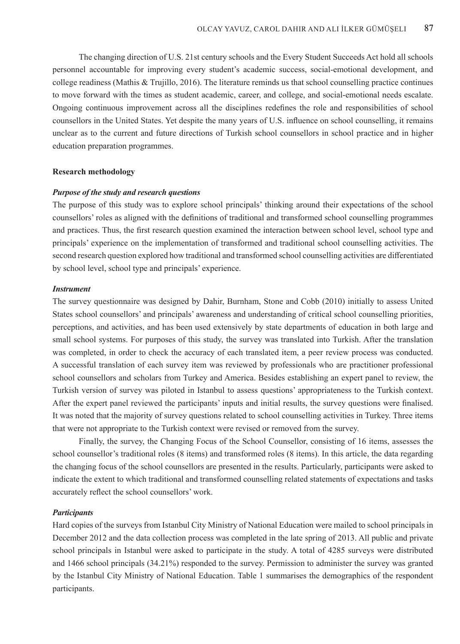The changing direction of U.S. 21st century schools and the Every Student Succeeds Act hold all schools personnel accountable for improving every student's academic success, social-emotional development, and college readiness (Mathis & Trujillo, 2016). The literature reminds us that school counselling practice continues to move forward with the times as student academic, career, and college, and social-emotional needs escalate. Ongoing continuous improvement across all the disciplines redefines the role and responsibilities of school counsellors in the United States. Yet despite the many years of U.S. influence on school counselling, it remains unclear as to the current and future directions of Turkish school counsellors in school practice and in higher education preparation programmes.

#### **Research methodology**

## *Purpose of the study and research questions*

The purpose of this study was to explore school principals' thinking around their expectations of the school counsellors' roles as aligned with the definitions of traditional and transformed school counselling programmes and practices. Thus, the first research question examined the interaction between school level, school type and principals' experience on the implementation of transformed and traditional school counselling activities. The second research question explored how traditional and transformed school counselling activities are differentiated by school level, school type and principals' experience.

# *Instrument*

The survey questionnaire was designed by Dahir, Burnham, Stone and Cobb (2010) initially to assess United States school counsellors' and principals' awareness and understanding of critical school counselling priorities, perceptions, and activities, and has been used extensively by state departments of education in both large and small school systems. For purposes of this study, the survey was translated into Turkish. After the translation was completed, in order to check the accuracy of each translated item, a peer review process was conducted. A successful translation of each survey item was reviewed by professionals who are practitioner professional school counsellors and scholars from Turkey and America. Besides establishing an expert panel to review, the Turkish version of survey was piloted in Istanbul to assess questions' appropriateness to the Turkish context. After the expert panel reviewed the participants' inputs and initial results, the survey questions were finalised. It was noted that the majority of survey questions related to school counselling activities in Turkey. Three items that were not appropriate to the Turkish context were revised or removed from the survey.

Finally, the survey, the Changing Focus of the School Counsellor, consisting of 16 items, assesses the school counsellor's traditional roles (8 items) and transformed roles (8 items). In this article, the data regarding the changing focus of the school counsellors are presented in the results. Particularly, participants were asked to indicate the extent to which traditional and transformed counselling related statements of expectations and tasks accurately reflect the school counsellors' work.

#### *Participants*

Hard copies of the surveys from Istanbul City Ministry of National Education were mailed to school principals in December 2012 and the data collection process was completed in the late spring of 2013. All public and private school principals in Istanbul were asked to participate in the study. A total of 4285 surveys were distributed and 1466 school principals (34.21%) responded to the survey. Permission to administer the survey was granted by the Istanbul City Ministry of National Education. Table 1 summarises the demographics of the respondent participants.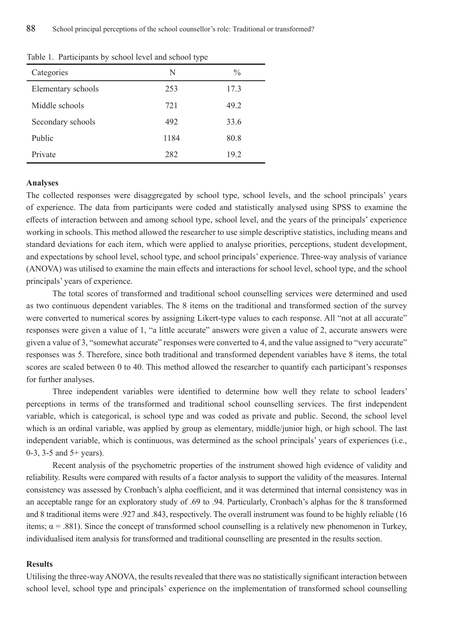|                    | . .  |               |
|--------------------|------|---------------|
| Categories         | N    | $\frac{0}{0}$ |
| Elementary schools | 253  | 17.3          |
| Middle schools     | 721  | 49.2          |
| Secondary schools  | 492  | 33.6          |
| Public             | 1184 | 80.8          |
| Private            | 282  | 19.2          |
|                    |      |               |

Table 1. Participants by school level and school type

#### **Analyses**

The collected responses were disaggregated by school type, school levels, and the school principals' years of experience. The data from participants were coded and statistically analysed using SPSS to examine the effects of interaction between and among school type, school level, and the years of the principals' experience working in schools. This method allowed the researcher to use simple descriptive statistics, including means and standard deviations for each item, which were applied to analyse priorities, perceptions, student development, and expectations by school level, school type, and school principals' experience. Three-way analysis of variance (ANOVA) was utilised to examine the main effects and interactions for school level, school type, and the school principals' years of experience.

The total scores of transformed and traditional school counselling services were determined and used as two continuous dependent variables. The 8 items on the traditional and transformed section of the survey were converted to numerical scores by assigning Likert-type values to each response. All "not at all accurate" responses were given a value of 1, "a little accurate" answers were given a value of 2, accurate answers were given a value of 3, "somewhat accurate" responses were converted to 4, and the value assigned to "very accurate" responses was 5. Therefore, since both traditional and transformed dependent variables have 8 items, the total scores are scaled between 0 to 40. This method allowed the researcher to quantify each participant's responses for further analyses.

Three independent variables were identified to determine how well they relate to school leaders' perceptions in terms of the transformed and traditional school counselling services. The first independent variable, which is categorical, is school type and was coded as private and public. Second, the school level which is an ordinal variable, was applied by group as elementary, middle/junior high, or high school. The last independent variable, which is continuous, was determined as the school principals' years of experiences (i.e., 0-3, 3-5 and 5+ years).

Recent analysis of the psychometric properties of the instrument showed high evidence of validity and reliability. Results were compared with results of a factor analysis to support the validity of the measures. Internal consistency was assessed by Cronbach's alpha coefficient, and it was determined that internal consistency was in an acceptable range for an exploratory study of .69 to .94. Particularly, Cronbach's alphas for the 8 transformed and 8 traditional items were .927 and .843, respectively. The overall instrument was found to be highly reliable (16 items;  $\alpha$  = .881). Since the concept of transformed school counselling is a relatively new phenomenon in Turkey, individualised item analysis for transformed and traditional counselling are presented in the results section.

#### **Results**

Utilising the three-way ANOVA, the results revealed that there was no statistically significant interaction between school level, school type and principals' experience on the implementation of transformed school counselling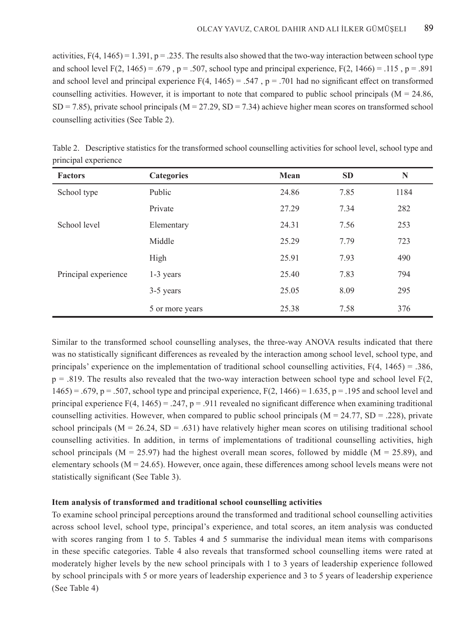activities,  $F(4, 1465) = 1.391$ ,  $p = .235$ . The results also showed that the two-way interaction between school type and school level  $F(2, 1465) = .679$ , p = .507, school type and principal experience,  $F(2, 1466) = .115$ , p = .891 and school level and principal experience  $F(4, 1465) = .547$ , p = .701 had no significant effect on transformed counselling activities. However, it is important to note that compared to public school principals ( $M = 24.86$ ,  $SD = 7.85$ ), private school principals (M = 27.29, SD = 7.34) achieve higher mean scores on transformed school counselling activities (See Table 2).

| <b>Factors</b>       | <b>Categories</b> | Mean  | <b>SD</b> | N    |
|----------------------|-------------------|-------|-----------|------|
| School type          | Public            | 24.86 | 7.85      | 1184 |
|                      | Private           | 27.29 | 7.34      | 282  |
| School level         | Elementary        | 24.31 | 7.56      | 253  |
|                      | Middle            | 25.29 | 7.79      | 723  |
|                      | High              | 25.91 | 7.93      | 490  |
| Principal experience | 1-3 years         | 25.40 | 7.83      | 794  |
|                      | 3-5 years         | 25.05 | 8.09      | 295  |
|                      | 5 or more years   | 25.38 | 7.58      | 376  |

Table 2. Descriptive statistics for the transformed school counselling activities for school level, school type and principal experience

Similar to the transformed school counselling analyses, the three-way ANOVA results indicated that there was no statistically significant differences as revealed by the interaction among school level, school type, and principals' experience on the implementation of traditional school counselling activities, F(4, 1465) = .386,  $p = .819$ . The results also revealed that the two-way interaction between school type and school level  $F(2)$ ,  $1465$ ) = .679, p = .507, school type and principal experience,  $F(2, 1466)$  = 1.635, p = .195 and school level and principal experience  $F(4, 1465) = .247$ ,  $p = .911$  revealed no significant difference when examining traditional counselling activities. However, when compared to public school principals ( $M = 24.77$ ,  $SD = .228$ ), private school principals ( $M = 26.24$ ,  $SD = .631$ ) have relatively higher mean scores on utilising traditional school counselling activities. In addition, in terms of implementations of traditional counselling activities, high school principals ( $M = 25.97$ ) had the highest overall mean scores, followed by middle ( $M = 25.89$ ), and elementary schools  $(M = 24.65)$ . However, once again, these differences among school levels means were not statistically significant (See Table 3).

### **Item analysis of transformed and traditional school counselling activities**

To examine school principal perceptions around the transformed and traditional school counselling activities across school level, school type, principal's experience, and total scores, an item analysis was conducted with scores ranging from 1 to 5. Tables 4 and 5 summarise the individual mean items with comparisons in these specific categories. Table 4 also reveals that transformed school counselling items were rated at moderately higher levels by the new school principals with 1 to 3 years of leadership experience followed by school principals with 5 or more years of leadership experience and 3 to 5 years of leadership experience (See Table 4)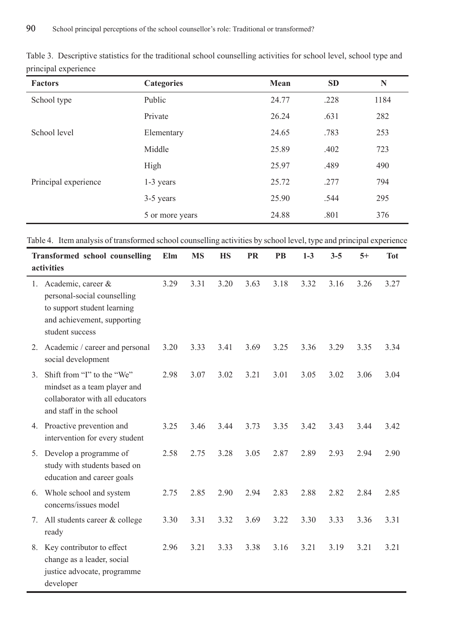| <b>Factors</b>       | <b>Categories</b> | Mean  | <b>SD</b> | N    |
|----------------------|-------------------|-------|-----------|------|
| School type          | Public            | 24.77 | .228      | 1184 |
|                      | Private           | 26.24 | .631      | 282  |
| School level         | Elementary        | 24.65 | .783      | 253  |
|                      | Middle            | 25.89 | .402      | 723  |
|                      | High              | 25.97 | .489      | 490  |
| Principal experience | $1-3$ years       | 25.72 | .277      | 794  |
|                      | 3-5 years         | 25.90 | .544      | 295  |
|                      | 5 or more years   | 24.88 | .801      | 376  |

Table 3. Descriptive statistics for the traditional school counselling activities for school level, school type and principal experience

Table 4. Item analysis of transformed school counselling activities by school level, type and principal experience

|    | <b>Transformed school counselling</b><br>activities                                                                                | Elm  | <b>MS</b> | <b>HS</b> | <b>PR</b> | PB   | $1-3$ | $3 - 5$ | $5+$ | <b>Tot</b> |
|----|------------------------------------------------------------------------------------------------------------------------------------|------|-----------|-----------|-----------|------|-------|---------|------|------------|
| 1. | Academic, career &<br>personal-social counselling<br>to support student learning<br>and achievement, supporting<br>student success | 3.29 | 3.31      | 3.20      | 3.63      | 3.18 | 3.32  | 3.16    | 3.26 | 3.27       |
| 2. | Academic / career and personal<br>social development                                                                               | 3.20 | 3.33      | 3.41      | 3.69      | 3.25 | 3.36  | 3.29    | 3.35 | 3.34       |
| 3. | Shift from "I" to the "We"<br>mindset as a team player and<br>collaborator with all educators<br>and staff in the school           | 2.98 | 3.07      | 3.02      | 3.21      | 3.01 | 3.05  | 3.02    | 3.06 | 3.04       |
| 4. | Proactive prevention and<br>intervention for every student                                                                         | 3.25 | 3.46      | 3.44      | 3.73      | 3.35 | 3.42  | 3.43    | 3.44 | 3.42       |
| 5. | Develop a programme of<br>study with students based on<br>education and career goals                                               | 2.58 | 2.75      | 3.28      | 3.05      | 2.87 | 2.89  | 2.93    | 2.94 | 2.90       |
| 6. | Whole school and system<br>concerns/issues model                                                                                   | 2.75 | 2.85      | 2.90      | 2.94      | 2.83 | 2.88  | 2.82    | 2.84 | 2.85       |
| 7. | All students career & college<br>ready                                                                                             | 3.30 | 3.31      | 3.32      | 3.69      | 3.22 | 3.30  | 3.33    | 3.36 | 3.31       |
| 8. | Key contributor to effect<br>change as a leader, social<br>justice advocate, programme<br>developer                                | 2.96 | 3.21      | 3.33      | 3.38      | 3.16 | 3.21  | 3.19    | 3.21 | 3.21       |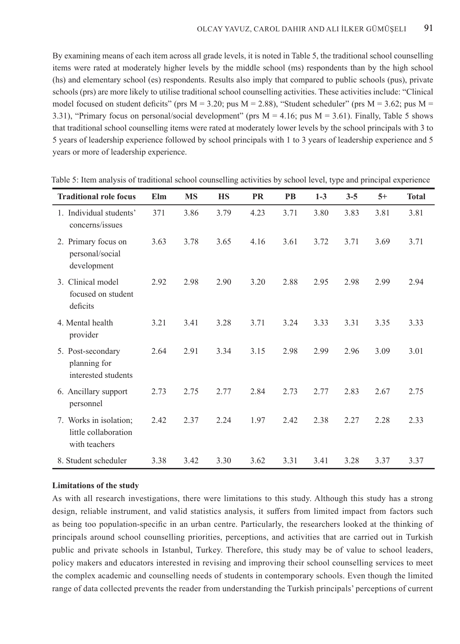By examining means of each item across all grade levels, it is noted in Table 5, the traditional school counselling items were rated at moderately higher levels by the middle school (ms) respondents than by the high school (hs) and elementary school (es) respondents. Results also imply that compared to public schools (pus), private schools (prs) are more likely to utilise traditional school counselling activities. These activities include: "Clinical model focused on student deficits" (prs  $M = 3.20$ ; pus  $M = 2.88$ ), "Student scheduler" (prs  $M = 3.62$ ; pus  $M = 2.88$ ) 3.31), "Primary focus on personal/social development" (prs  $M = 4.16$ ; pus  $M = 3.61$ ). Finally, Table 5 shows that traditional school counselling items were rated at moderately lower levels by the school principals with 3 to 5 years of leadership experience followed by school principals with 1 to 3 years of leadership experience and 5 years or more of leadership experience.

| <b>Traditional role focus</b>                                   | Elm  | <b>MS</b> | <b>HS</b> | <b>PR</b> | <b>PB</b> | $1-3$ | $3 - 5$ | $5+$ | <b>Total</b> |
|-----------------------------------------------------------------|------|-----------|-----------|-----------|-----------|-------|---------|------|--------------|
| 1. Individual students'<br>concerns/issues                      | 371  | 3.86      | 3.79      | 4.23      | 3.71      | 3.80  | 3.83    | 3.81 | 3.81         |
| 2. Primary focus on<br>personal/social<br>development           | 3.63 | 3.78      | 3.65      | 4.16      | 3.61      | 3.72  | 3.71    | 3.69 | 3.71         |
| 3. Clinical model<br>focused on student<br>deficits             | 2.92 | 2.98      | 2.90      | 3.20      | 2.88      | 2.95  | 2.98    | 2.99 | 2.94         |
| 4. Mental health<br>provider                                    | 3.21 | 3.41      | 3.28      | 3.71      | 3.24      | 3.33  | 3.31    | 3.35 | 3.33         |
| 5. Post-secondary<br>planning for<br>interested students        | 2.64 | 2.91      | 3.34      | 3.15      | 2.98      | 2.99  | 2.96    | 3.09 | 3.01         |
| 6. Ancillary support<br>personnel                               | 2.73 | 2.75      | 2.77      | 2.84      | 2.73      | 2.77  | 2.83    | 2.67 | 2.75         |
| 7. Works in isolation;<br>little collaboration<br>with teachers | 2.42 | 2.37      | 2.24      | 1.97      | 2.42      | 2.38  | 2.27    | 2.28 | 2.33         |
| 8. Student scheduler                                            | 3.38 | 3.42      | 3.30      | 3.62      | 3.31      | 3.41  | 3.28    | 3.37 | 3.37         |

Table 5: Item analysis of traditional school counselling activities by school level, type and principal experience

# **Limitations of the study**

As with all research investigations, there were limitations to this study. Although this study has a strong design, reliable instrument, and valid statistics analysis, it suffers from limited impact from factors such as being too population-specific in an urban centre. Particularly, the researchers looked at the thinking of principals around school counselling priorities, perceptions, and activities that are carried out in Turkish public and private schools in Istanbul, Turkey. Therefore, this study may be of value to school leaders, policy makers and educators interested in revising and improving their school counselling services to meet the complex academic and counselling needs of students in contemporary schools. Even though the limited range of data collected prevents the reader from understanding the Turkish principals' perceptions of current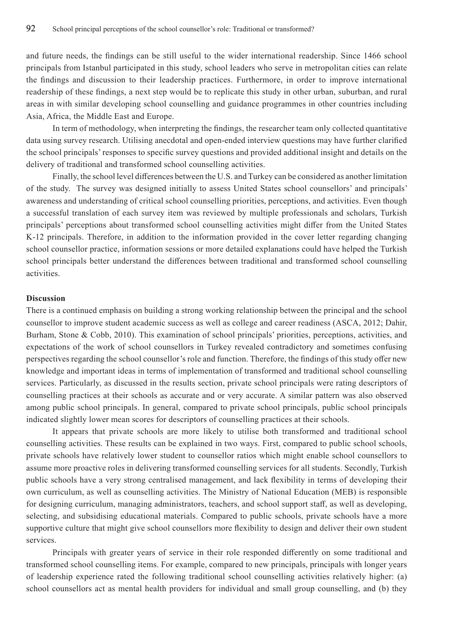and future needs, the findings can be still useful to the wider international readership. Since 1466 school principals from Istanbul participated in this study, school leaders who serve in metropolitan cities can relate the findings and discussion to their leadership practices. Furthermore, in order to improve international readership of these findings, a next step would be to replicate this study in other urban, suburban, and rural areas in with similar developing school counselling and guidance programmes in other countries including Asia, Africa, the Middle East and Europe.

In term of methodology, when interpreting the findings, the researcher team only collected quantitative data using survey research. Utilising anecdotal and open-ended interview questions may have further clarified the school principals' responses to specific survey questions and provided additional insight and details on the delivery of traditional and transformed school counselling activities.

Finally, the school level differences between the U.S. and Turkey can be considered as another limitation of the study. The survey was designed initially to assess United States school counsellors' and principals' awareness and understanding of critical school counselling priorities, perceptions, and activities. Even though a successful translation of each survey item was reviewed by multiple professionals and scholars, Turkish principals' perceptions about transformed school counselling activities might differ from the United States K-12 principals. Therefore, in addition to the information provided in the cover letter regarding changing school counsellor practice, information sessions or more detailed explanations could have helped the Turkish school principals better understand the differences between traditional and transformed school counselling activities.

# **Discussion**

There is a continued emphasis on building a strong working relationship between the principal and the school counsellor to improve student academic success as well as college and career readiness (ASCA, 2012; Dahir, Burham, Stone & Cobb, 2010). This examination of school principals' priorities, perceptions, activities, and expectations of the work of school counsellors in Turkey revealed contradictory and sometimes confusing perspectives regarding the school counsellor's role and function. Therefore, the findings of this study offer new knowledge and important ideas in terms of implementation of transformed and traditional school counselling services. Particularly, as discussed in the results section, private school principals were rating descriptors of counselling practices at their schools as accurate and or very accurate. A similar pattern was also observed among public school principals. In general, compared to private school principals, public school principals indicated slightly lower mean scores for descriptors of counselling practices at their schools.

It appears that private schools are more likely to utilise both transformed and traditional school counselling activities. These results can be explained in two ways. First, compared to public school schools, private schools have relatively lower student to counsellor ratios which might enable school counsellors to assume more proactive roles in delivering transformed counselling services for all students. Secondly, Turkish public schools have a very strong centralised management, and lack flexibility in terms of developing their own curriculum, as well as counselling activities. The Ministry of National Education (MEB) is responsible for designing curriculum, managing administrators, teachers, and school support staff, as well as developing, selecting, and subsidising educational materials. Compared to public schools, private schools have a more supportive culture that might give school counsellors more flexibility to design and deliver their own student services.

Principals with greater years of service in their role responded differently on some traditional and transformed school counselling items. For example, compared to new principals, principals with longer years of leadership experience rated the following traditional school counselling activities relatively higher: (a) school counsellors act as mental health providers for individual and small group counselling, and (b) they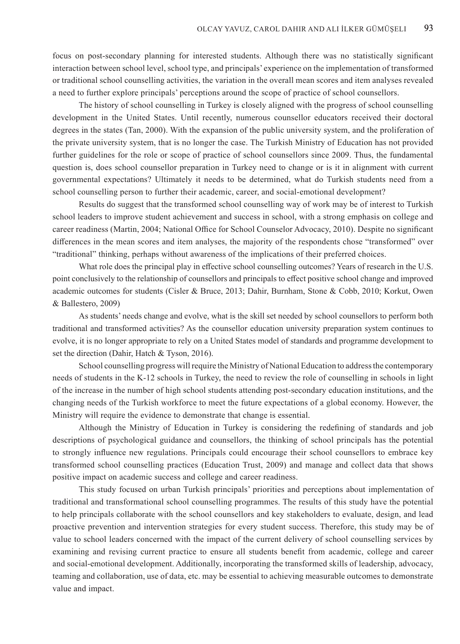focus on post-secondary planning for interested students. Although there was no statistically significant interaction between school level, school type, and principals' experience on the implementation of transformed or traditional school counselling activities, the variation in the overall mean scores and item analyses revealed a need to further explore principals' perceptions around the scope of practice of school counsellors.

The history of school counselling in Turkey is closely aligned with the progress of school counselling development in the United States. Until recently, numerous counsellor educators received their doctoral degrees in the states (Tan, 2000). With the expansion of the public university system, and the proliferation of the private university system, that is no longer the case. The Turkish Ministry of Education has not provided further guidelines for the role or scope of practice of school counsellors since 2009. Thus, the fundamental question is, does school counsellor preparation in Turkey need to change or is it in alignment with current governmental expectations? Ultimately it needs to be determined, what do Turkish students need from a school counselling person to further their academic, career, and social-emotional development?

Results do suggest that the transformed school counselling way of work may be of interest to Turkish school leaders to improve student achievement and success in school, with a strong emphasis on college and career readiness (Martin, 2004; National Office for School Counselor Advocacy, 2010). Despite no significant differences in the mean scores and item analyses, the majority of the respondents chose "transformed" over "traditional" thinking, perhaps without awareness of the implications of their preferred choices.

What role does the principal play in effective school counselling outcomes? Years of research in the U.S. point conclusively to the relationship of counsellors and principals to effect positive school change and improved academic outcomes for students (Cisler & Bruce, 2013; Dahir, Burnham, Stone & Cobb, 2010; Korkut, Owen & Ballestero, 2009)

As students' needs change and evolve, what is the skill set needed by school counsellors to perform both traditional and transformed activities? As the counsellor education university preparation system continues to evolve, it is no longer appropriate to rely on a United States model of standards and programme development to set the direction (Dahir, Hatch & Tyson, 2016).

School counselling progress will require the Ministry of National Education to address the contemporary needs of students in the K-12 schools in Turkey, the need to review the role of counselling in schools in light of the increase in the number of high school students attending post-secondary education institutions, and the changing needs of the Turkish workforce to meet the future expectations of a global economy. However, the Ministry will require the evidence to demonstrate that change is essential.

Although the Ministry of Education in Turkey is considering the redefining of standards and job descriptions of psychological guidance and counsellors, the thinking of school principals has the potential to strongly influence new regulations. Principals could encourage their school counsellors to embrace key transformed school counselling practices (Education Trust, 2009) and manage and collect data that shows positive impact on academic success and college and career readiness.

This study focused on urban Turkish principals' priorities and perceptions about implementation of traditional and transformational school counselling programmes. The results of this study have the potential to help principals collaborate with the school counsellors and key stakeholders to evaluate, design, and lead proactive prevention and intervention strategies for every student success. Therefore, this study may be of value to school leaders concerned with the impact of the current delivery of school counselling services by examining and revising current practice to ensure all students benefit from academic, college and career and social-emotional development. Additionally, incorporating the transformed skills of leadership, advocacy, teaming and collaboration, use of data, etc. may be essential to achieving measurable outcomes to demonstrate value and impact.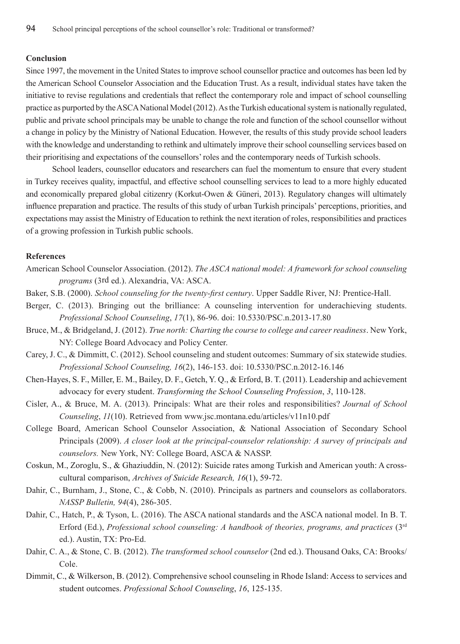## **Conclusion**

Since 1997, the movement in the United States to improve school counsellor practice and outcomes has been led by the American School Counselor Association and the Education Trust. As a result, individual states have taken the initiative to revise regulations and credentials that reflect the contemporary role and impact of school counselling practice as purported by the ASCA National Model (2012). As the Turkish educational system is nationally regulated, public and private school principals may be unable to change the role and function of the school counsellor without a change in policy by the Ministry of National Education. However, the results of this study provide school leaders with the knowledge and understanding to rethink and ultimately improve their school counselling services based on their prioritising and expectations of the counsellors' roles and the contemporary needs of Turkish schools.

School leaders, counsellor educators and researchers can fuel the momentum to ensure that every student in Turkey receives quality, impactful, and effective school counselling services to lead to a more highly educated and economically prepared global citizenry (Korkut-Owen & Güneri, 2013). Regulatory changes will ultimately influence preparation and practice. The results of this study of urban Turkish principals' perceptions, priorities, and expectations may assist the Ministry of Education to rethink the next iteration of roles, responsibilities and practices of a growing profession in Turkish public schools.

#### **References**

- American School Counselor Association. (2012). *The ASCA national model: A framework for school counseling programs* (3rd ed.). Alexandria, VA: ASCA.
- Baker, S.B. (2000). *School counseling for the twenty-first century*. Upper Saddle River, NJ: Prentice-Hall.
- Berger, C. (2013). Bringing out the brilliance: A counseling intervention for underachieving students. *Professional School Counseling*, *17*(1), 86-96. doi: 10.5330/PSC.n.2013-17.80
- Bruce, M., & Bridgeland, J. (2012). *True north: Charting the course to college and career readiness*. New York, NY: College Board Advocacy and Policy Center.
- Carey, J. C., & Dimmitt, C. (2012). School counseling and student outcomes: Summary of six statewide studies. *Professional School Counseling, 16*(2), 146-153. doi: 10.5330/PSC.n.2012-16.146
- Chen-Hayes, S. F., Miller, E. M., Bailey, D. F., Getch, Y. Q., & Erford, B. T. (2011). Leadership and achievement advocacy for every student. *Transforming the School Counseling Profession*, *3*, 110-128.
- Cisler, A., & Bruce, M. A. (2013). Principals: What are their roles and responsibilities? *Journal of School Counseling*, *11*(10). Retrieved from www.jsc.montana.edu/articles/v11n10.pdf
- College Board, American School Counselor Association, & National Association of Secondary School Principals (2009). *A closer look at the principal-counselor relationship: A survey of principals and counselors.* New York, NY: College Board, ASCA & NASSP.
- Coskun, M., Zoroglu, S., & Ghaziuddin, N. (2012): Suicide rates among Turkish and American youth: A crosscultural comparison, *Archives of Suicide Research, 16*(1), 59-72.
- Dahir, C., Burnham, J., Stone, C., & Cobb, N. (2010). Principals as partners and counselors as collaborators. *NASSP Bulletin, 94*(4), 286-305.
- Dahir, C., Hatch, P., & Tyson, L. (2016). The ASCA national standards and the ASCA national model. In B. T. Erford (Ed.), *Professional school counseling: A handbook of theories, programs, and practices* (3rd ed.). Austin, TX: Pro-Ed.
- Dahir, C. A., & Stone, C. B. (2012). *The transformed school counselor* (2nd ed.). Thousand Oaks, CA: Brooks/ Cole.
- Dimmit, C., & Wilkerson, B. (2012). Comprehensive school counseling in Rhode Island: Access to services and student outcomes. *Professional School Counseling*, *16*, 125-135.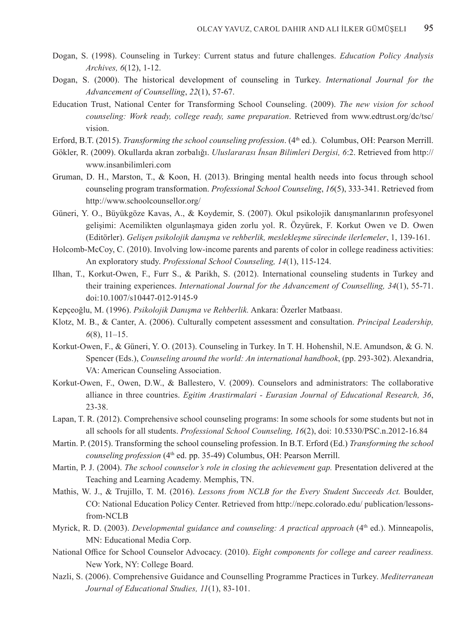- Dogan, S. (1998). Counseling in Turkey: Current status and future challenges. *Education Policy Analysis Archives, 6*(12), 1-12.
- Dogan, S. (2000). The historical development of counseling in Turkey. *International Journal for the Advancement of Counselling*, *22*(1), 57-67.
- Education Trust, National Center for Transforming School Counseling. (2009). *The new vision for school counseling: Work ready, college ready, same preparation*. Retrieved from www.edtrust.org/dc/tsc/ vision.
- Erford, B.T. (2015). *Transforming the school counseling profession*. (4th ed.). Columbus, OH: Pearson Merrill.
- Gökler, R. (2009). Okullarda akran zorbalığı. *Uluslararası İnsan Bilimleri Dergisi, 6*:2. Retrieved from http:// www.insanbilimleri.com
- Gruman, D. H., Marston, T., & Koon, H. (2013). Bringing mental health needs into focus through school counseling program transformation. *Professional School Counseling*, *16*(5), 333-341. Retrieved from http://www.schoolcounsellor.org/
- Güneri, Y. O., Büyükgöze Kavas, A., & Koydemir, S. (2007). Okul psikolojik danışmanlarının profesyonel gelişimi: Acemilikten olgunlaşmaya giden zorlu yol. R. Özyürek, F. Korkut Owen ve D. Owen (Editörler). *Gelişen psikolojik danışma ve rehberlik, meslekleşme sürecinde ilerlemeler*, 1, 139-161.
- Holcomb-McCoy, C. (2010). Involving low-income parents and parents of color in college readiness activities: An exploratory study. *Professional School Counseling, 14*(1), 115-124.
- Ilhan, T., Korkut-Owen, F., Furr S., & Parikh, S. (2012). International counseling students in Turkey and their training experiences. *International Journal for the Advancement of Counselling, 34*(1), 55-71. doi:10.1007/s10447-012-9145-9
- Kepçeoğlu, M. (1996). *Psikolojik Danışma ve Rehberlik.* Ankara: Özerler Matbaası.
- Klotz, M. B., & Canter, A. (2006). Culturally competent assessment and consultation. *Principal Leadership, 6*(8), 11–15.
- Korkut-Owen, F., & Güneri, Y. O. (2013). Counseling in Turkey. In T. H. Hohenshil, N.E. Amundson, & G. N. Spencer (Eds.), *Counseling around the world: An international handbook*, (pp. 293-302). Alexandria, VA: American Counseling Association.
- Korkut-Owen, F., Owen, D.W., & Ballestero, V. (2009). Counselors and administrators: The collaborative alliance in three countries. *Egitim Arastirmalari - Eurasian Journal of Educational Research, 36*, 23-38.
- Lapan, T. R. (2012). Comprehensive school counseling programs: In some schools for some students but not in all schools for all students. *Professional School Counseling, 16*(2), doi: 10.5330/PSC.n.2012-16.84
- Martin. P. (2015). Transforming the school counseling profession. In B.T. Erford (Ed.) *Transforming the school counseling profession* (4<sup>th</sup> ed. pp. 35-49) Columbus, OH: Pearson Merrill.
- Martin, P. J. (2004). *The school counselor's role in closing the achievement gap*. Presentation delivered at the Teaching and Learning Academy. Memphis, TN.
- Mathis, W. J., & Trujillo, T. M. (2016). *Lessons from NCLB for the Every Student Succeeds Act.* Boulder, CO: National Education Policy Center. Retrieved from http://nepc.colorado.edu/ publication/lessonsfrom-NCLB
- Myrick, R. D. (2003). *Developmental guidance and counseling: A practical approach* (4<sup>th</sup> ed.). Minneapolis, MN: Educational Media Corp.
- National Office for School Counselor Advocacy. (2010). *Eight components for college and career readiness.* New York, NY: College Board.
- Nazli, S. (2006). Comprehensive Guidance and Counselling Programme Practices in Turkey. *Mediterranean Journal of Educational Studies, 11*(1), 83-101.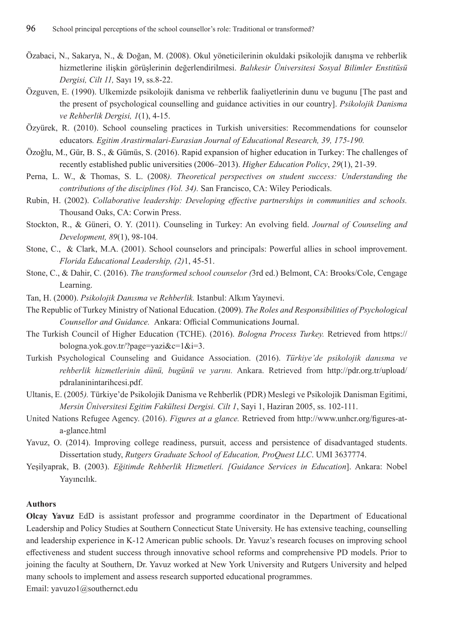- Özabaci, N., Sakarya, N., & Doğan, M. (2008). Okul yöneticilerinin okuldaki psikolojik danışma ve rehberlik hizmetlerine i̇lişkin görüşlerinin değerlendirilmesi. *Balıkesir Üniversitesi Sosyal Bilimler Enstitüsü Dergisi, Cilt 11,* Sayı 19, ss.8-22.
- Özguven, E. (1990). Ulkemizde psikolojik danisma ve rehberlik faaliyetlerinin dunu ve bugunu [The past and the present of psychological counselling and guidance activities in our country]. *Psikolojik Danisma ve Rehberlik Dergisi, 1*(1), 4-15.
- Özyürek, R. (2010). School counseling practices in Turkish universities: Recommendations for counselor educators*. Egitim Arastirmalari-Eurasian Journal of Educational Research, 39, 175-190.*
- Özoǧlu, M., Gür, B. S., & Gümüs, S. (2016). Rapid expansion of higher education in Turkey: The challenges of recently established public universities (2006–2013). *Higher Education Policy*, *29*(1), 21-39.
- Perna, L. W., & Thomas, S. L. (2008*). Theoretical perspectives on student success: Understanding the contributions of the disciplines (Vol. 34).* San Francisco, CA: Wiley Periodicals.
- Rubin, H. (2002). *Collaborative leadership: Developing effective partnerships in communities and schools.*  Thousand Oaks, CA: Corwin Press.
- Stockton, R., & Güneri, O. Y. (2011). Counseling in Turkey: An evolving field. *Journal of Counseling and Development, 89*(1), 98-104.
- Stone, C., & Clark, M.A. (2001). School counselors and principals: Powerful allies in school improvement. *Florida Educational Leadership, (2)*1, 45-51.
- Stone, C., & Dahir, C. (2016). *The transformed school counselor (*3rd ed.) Belmont, CA: Brooks/Cole, Cengage Learning.
- Tan, H. (2000). *Psikolojik Danısma ve Rehberlik.* Istanbul: Alkım Yayınevi.
- The Republic of Turkey Ministry of National Education. (2009). *The Roles and Responsibilities of Psychological Counsellor and Guidance.* Ankara: Official Communications Journal.
- The Turkish Council of Higher Education (TCHE). (2016). *Bologna Process Turkey.* Retrieved from https:// bologna.yok.gov.tr/?page=yazi&c=1&i=3.
- Turkish Psychological Counseling and Guidance Association. (2016). *Türkiye'de psikolojik danısma ve rehberlik hizmetlerinin dünü, bugünü ve yarını.* Ankara. Retrieved from http://pdr.org.tr/upload/ pdralaninintarihcesi.pdf.
- Ultanis, E. (2005*).* Türkiye'de Psikolojik Danisma ve Rehberlik (PDR) Meslegi ve Psikolojik Danisman Egitimi, *Mersin Üniversitesi Egitim Fakültesi Dergisi. Cilt 1*, Sayi 1, Haziran 2005, ss. 102-111.
- United Nations Refugee Agency. (2016). *Figures at a glance.* Retrieved from http://www.unhcr.org/figures-ata-glance.html
- Yavuz, O. (2014). Improving college readiness, pursuit, access and persistence of disadvantaged students. Dissertation study, *Rutgers Graduate School of Education, ProQuest LLC*. UMI 3637774.
- Yeşilyaprak, B. (2003). *Eğitimde Rehberlik Hizmetleri. [Guidance Services in Education*]. Ankara: Nobel Yayıncılık.

## **Authors**

**Olcay Yavuz** EdD is assistant professor and programme coordinator in the Department of Educational Leadership and Policy Studies at Southern Connecticut State University. He has extensive teaching, counselling and leadership experience in K-12 American public schools. Dr. Yavuz's research focuses on improving school effectiveness and student success through innovative school reforms and comprehensive PD models. Prior to joining the faculty at Southern, Dr. Yavuz worked at New York University and Rutgers University and helped many schools to implement and assess research supported educational programmes.

Email: yavuzo1@southernct.edu